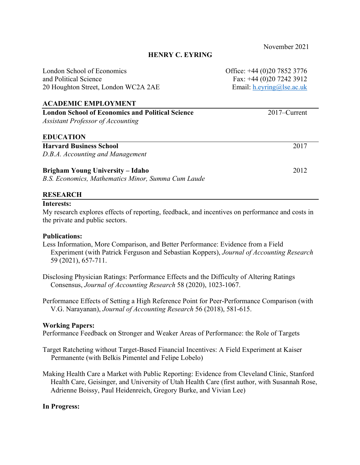London School of Economics Office: +44 (0)20 7852 3776 and Political Science Fax: +44 (0)20 7242 3912 20 Houghton Street, London WC2A 2AE Email: h.eyring@lse.ac.uk

## **ACADEMIC EMPLOYMENT**

| <b>London School of Economics and Political Science</b> | $2017$ –Current |
|---------------------------------------------------------|-----------------|
| <b>Assistant Professor of Accounting</b>                |                 |
| <b>EDUCATION</b>                                        |                 |
| <b>Harvard Business School</b>                          | 2017            |
| D.B.A. Accounting and Management                        |                 |
| <b>Brigham Young University – Idaho</b>                 | 2012            |

*B.S. Economics, Mathematics Minor, Summa Cum Laude*

## **RESEARCH**

#### **Interests:**

My research explores effects of reporting, feedback, and incentives on performance and costs in the private and public sectors.

#### **Publications:**

Less Information, More Comparison, and Better Performance: Evidence from a Field Experiment (with Patrick Ferguson and Sebastian Koppers), *Journal of Accounting Research* 59 (2021), 657-711.

Disclosing Physician Ratings: Performance Effects and the Difficulty of Altering Ratings Consensus, *Journal of Accounting Research* 58 (2020), 1023-1067.

Performance Effects of Setting a High Reference Point for Peer-Performance Comparison (with V.G. Narayanan), *Journal of Accounting Research* 56 (2018), 581-615.

#### **Working Papers:**

Performance Feedback on Stronger and Weaker Areas of Performance: the Role of Targets

Target Ratcheting without Target-Based Financial Incentives: A Field Experiment at Kaiser Permanente (with Belkis Pimentel and Felipe Lobelo)

Making Health Care a Market with Public Reporting: Evidence from Cleveland Clinic, Stanford Health Care, Geisinger, and University of Utah Health Care (first author, with Susannah Rose, Adrienne Boissy, Paul Heidenreich, Gregory Burke, and Vivian Lee)

### **In Progress:**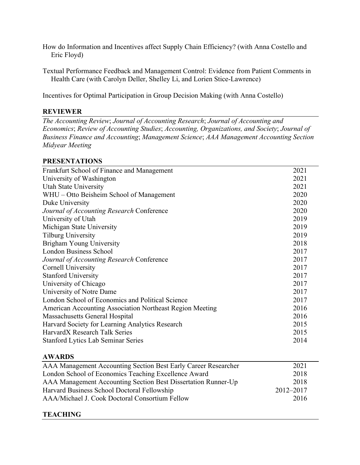How do Information and Incentives affect Supply Chain Efficiency? (with Anna Costello and Eric Floyd)

Textual Performance Feedback and Management Control: Evidence from Patient Comments in Health Care (with Carolyn Deller, Shelley Li, and Lorien Stice-Lawrence)

Incentives for Optimal Participation in Group Decision Making (with Anna Costello)

# **REVIEWER**

*The Accounting Review*; *Journal of Accounting Research*; *Journal of Accounting and Economics*; *Review of Accounting Studies*; *Accounting, Organizations, and Society*; *Journal of Business Finance and Accounting*; *Management Science*; *AAA Management Accounting Section Midyear Meeting*

## **PRESENTATIONS**

| Frankfurt School of Finance and Management               | 2021 |
|----------------------------------------------------------|------|
| University of Washington                                 | 2021 |
| Utah State University                                    | 2021 |
| WHU – Otto Beisheim School of Management                 | 2020 |
| Duke University                                          | 2020 |
| Journal of Accounting Research Conference                | 2020 |
| University of Utah                                       | 2019 |
| Michigan State University                                | 2019 |
| <b>Tilburg University</b>                                | 2019 |
| Brigham Young University                                 | 2018 |
| <b>London Business School</b>                            | 2017 |
| Journal of Accounting Research Conference                | 2017 |
| <b>Cornell University</b>                                | 2017 |
| <b>Stanford University</b>                               | 2017 |
| University of Chicago                                    | 2017 |
| University of Notre Dame                                 | 2017 |
| London School of Economics and Political Science         | 2017 |
| American Accounting Association Northeast Region Meeting | 2016 |
| Massachusetts General Hospital                           | 2016 |
| Harvard Society for Learning Analytics Research          | 2015 |
| HarvardX Research Talk Series                            | 2015 |
| <b>Stanford Lytics Lab Seminar Series</b>                | 2014 |
|                                                          |      |

## **AWARDS**

| AAA Management Accounting Section Best Early Career Researcher | 2021      |
|----------------------------------------------------------------|-----------|
| London School of Economics Teaching Excellence Award           | 2018      |
| AAA Management Accounting Section Best Dissertation Runner-Up  | 2018      |
| Harvard Business School Doctoral Fellowship                    | 2012-2017 |
| AAA/Michael J. Cook Doctoral Consortium Fellow                 | 2016      |

# **TEACHING**